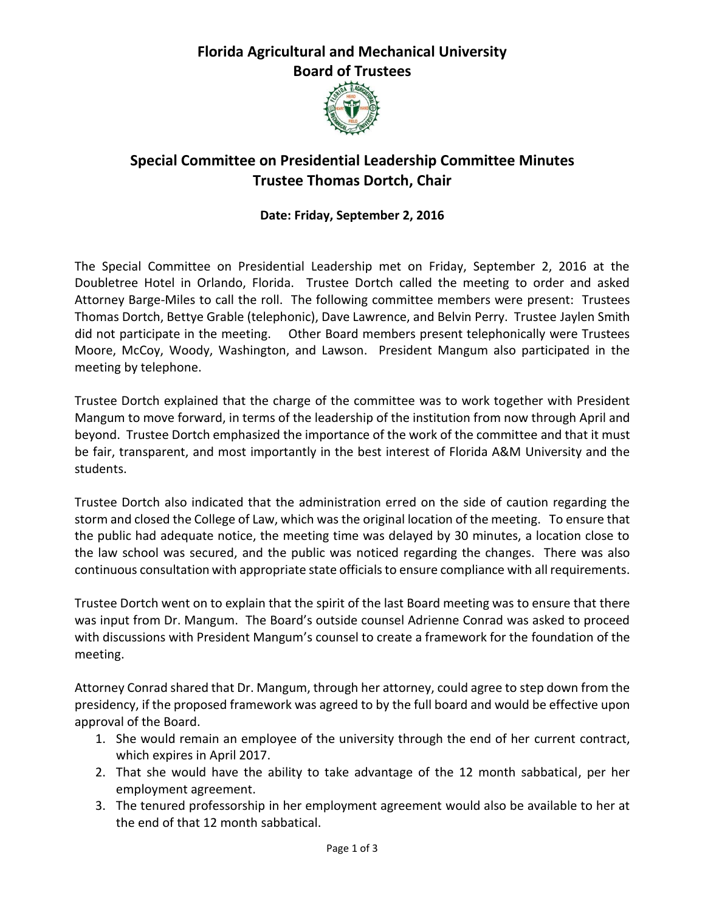### **Florida Agricultural and Mechanical University Board of Trustees**



# **Special Committee on Presidential Leadership Committee Minutes Trustee Thomas Dortch, Chair**

#### **Date: Friday, September 2, 2016**

The Special Committee on Presidential Leadership met on Friday, September 2, 2016 at the Doubletree Hotel in Orlando, Florida. Trustee Dortch called the meeting to order and asked Attorney Barge-Miles to call the roll. The following committee members were present: Trustees Thomas Dortch, Bettye Grable (telephonic), Dave Lawrence, and Belvin Perry. Trustee Jaylen Smith did not participate in the meeting. Other Board members present telephonically were Trustees Moore, McCoy, Woody, Washington, and Lawson. President Mangum also participated in the meeting by telephone.

Trustee Dortch explained that the charge of the committee was to work together with President Mangum to move forward, in terms of the leadership of the institution from now through April and beyond. Trustee Dortch emphasized the importance of the work of the committee and that it must be fair, transparent, and most importantly in the best interest of Florida A&M University and the students.

Trustee Dortch also indicated that the administration erred on the side of caution regarding the storm and closed the College of Law, which was the original location of the meeting. To ensure that the public had adequate notice, the meeting time was delayed by 30 minutes, a location close to the law school was secured, and the public was noticed regarding the changes. There was also continuous consultation with appropriate state officials to ensure compliance with all requirements.

Trustee Dortch went on to explain that the spirit of the last Board meeting was to ensure that there was input from Dr. Mangum. The Board's outside counsel Adrienne Conrad was asked to proceed with discussions with President Mangum's counsel to create a framework for the foundation of the meeting.

Attorney Conrad shared that Dr. Mangum, through her attorney, could agree to step down from the presidency, if the proposed framework was agreed to by the full board and would be effective upon approval of the Board.

- 1. She would remain an employee of the university through the end of her current contract, which expires in April 2017.
- 2. That she would have the ability to take advantage of the 12 month sabbatical, per her employment agreement.
- 3. The tenured professorship in her employment agreement would also be available to her at the end of that 12 month sabbatical.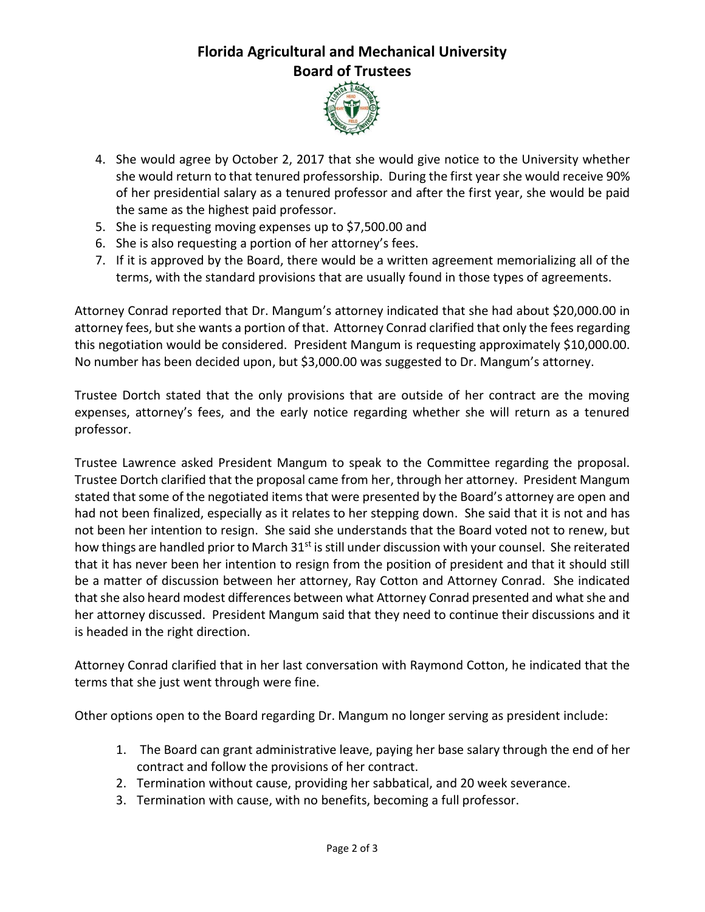## **Florida Agricultural and Mechanical University Board of Trustees**



- 4. She would agree by October 2, 2017 that she would give notice to the University whether she would return to that tenured professorship. During the first year she would receive 90% of her presidential salary as a tenured professor and after the first year, she would be paid the same as the highest paid professor.
- 5. She is requesting moving expenses up to \$7,500.00 and
- 6. She is also requesting a portion of her attorney's fees.
- 7. If it is approved by the Board, there would be a written agreement memorializing all of the terms, with the standard provisions that are usually found in those types of agreements.

Attorney Conrad reported that Dr. Mangum's attorney indicated that she had about \$20,000.00 in attorney fees, but she wants a portion of that. Attorney Conrad clarified that only the fees regarding this negotiation would be considered. President Mangum is requesting approximately \$10,000.00. No number has been decided upon, but \$3,000.00 was suggested to Dr. Mangum's attorney.

Trustee Dortch stated that the only provisions that are outside of her contract are the moving expenses, attorney's fees, and the early notice regarding whether she will return as a tenured professor.

Trustee Lawrence asked President Mangum to speak to the Committee regarding the proposal. Trustee Dortch clarified that the proposal came from her, through her attorney. President Mangum stated that some of the negotiated items that were presented by the Board's attorney are open and had not been finalized, especially as it relates to her stepping down. She said that it is not and has not been her intention to resign. She said she understands that the Board voted not to renew, but how things are handled prior to March  $31<sup>st</sup>$  is still under discussion with your counsel. She reiterated that it has never been her intention to resign from the position of president and that it should still be a matter of discussion between her attorney, Ray Cotton and Attorney Conrad. She indicated that she also heard modest differences between what Attorney Conrad presented and what she and her attorney discussed. President Mangum said that they need to continue their discussions and it is headed in the right direction.

Attorney Conrad clarified that in her last conversation with Raymond Cotton, he indicated that the terms that she just went through were fine.

Other options open to the Board regarding Dr. Mangum no longer serving as president include:

- 1. The Board can grant administrative leave, paying her base salary through the end of her contract and follow the provisions of her contract.
- 2. Termination without cause, providing her sabbatical, and 20 week severance.
- 3. Termination with cause, with no benefits, becoming a full professor.